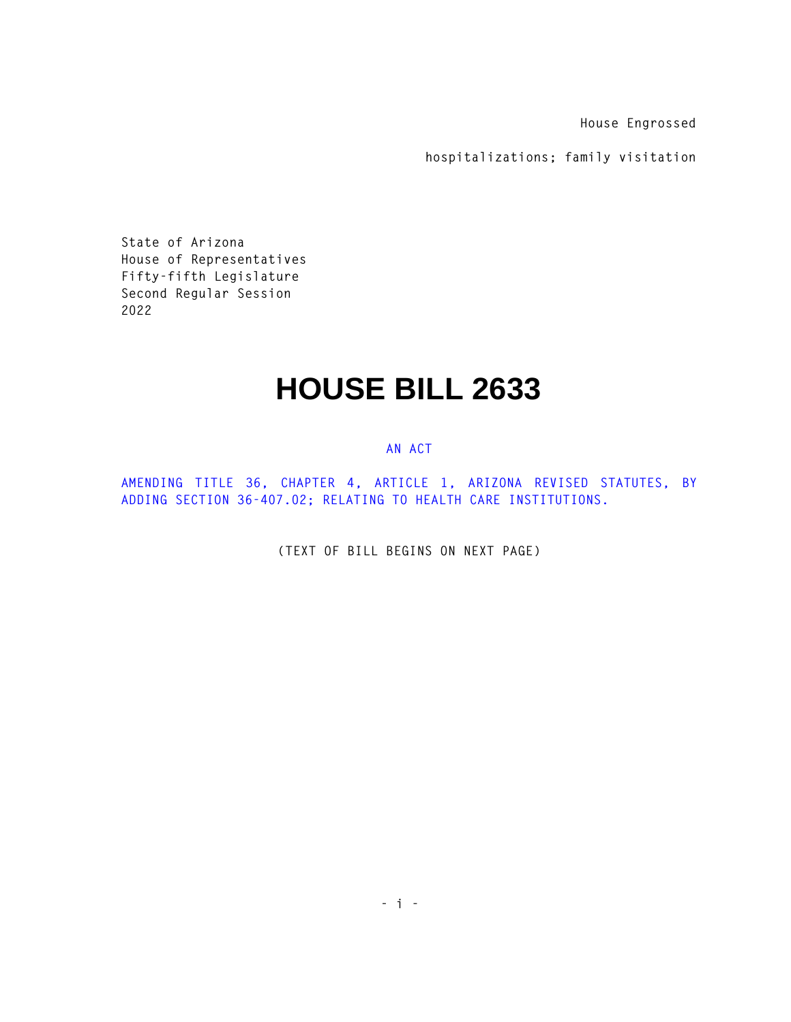**House Engrossed** 

**hospitalizations; family visitation** 

**State of Arizona House of Representatives Fifty-fifth Legislature Second Regular Session 2022** 

## **HOUSE BILL 2633**

## **AN ACT**

**AMENDING TITLE 36, CHAPTER 4, ARTICLE 1, ARIZONA REVISED STATUTES, BY ADDING SECTION 36-407.02; RELATING TO HEALTH CARE INSTITUTIONS.** 

**(TEXT OF BILL BEGINS ON NEXT PAGE)**